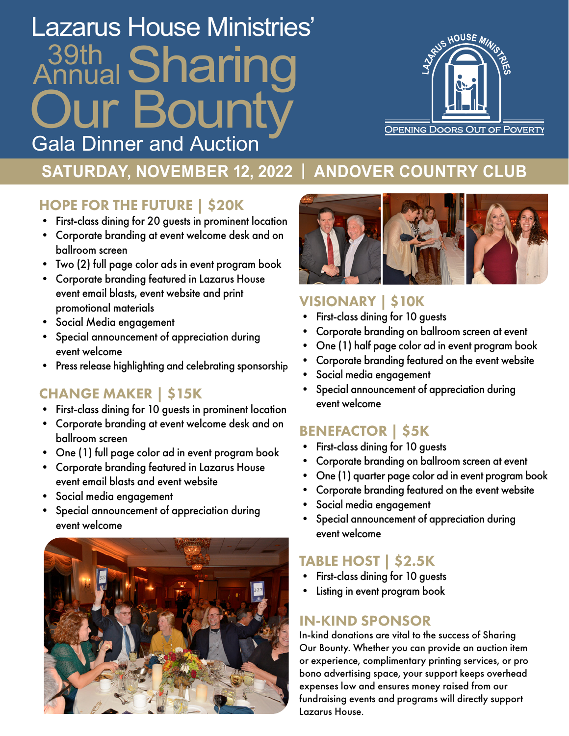# )ur Annual 39th Sharing Lazarus House Ministries' Gala Dinner and Auction



## **SATURDAY, NOVEMBER 12, 2022 | ANDOVER COUNTRY CLUB**

### HOPE FOR THE FUTURE | \$20K

- First-class dining for 20 guests in prominent location
- Corporate branding at event welcome desk and on ballroom screen
- Two (2) full page color ads in event program book
- Corporate branding featured in Lazarus House event email blasts, event website and print promotional materials
- Social Media engagement
- Special announcement of appreciation during event welcome
- Press release highlighting and celebrating sponsorship

### CHANGE MAKER | \$15K

- First-class dining for 10 guests in prominent location
- Corporate branding at event welcome desk and on ballroom screen
- One (1) full page color ad in event program book
- Corporate branding featured in Lazarus House event email blasts and event website
- Social media engagement
- Special announcement of appreciation during event welcome





#### VISIONARY | \$10K

- First-class dining for 10 guests
- Corporate branding on ballroom screen at event
- One (1) half page color ad in event program book
- Corporate branding featured on the event website
- Social media engagement
- Special announcement of appreciation during event welcome

### BENEFACTOR | \$5K

- First-class dining for 10 guests
- Corporate branding on ballroom screen at event
- One (1) quarter page color ad in event program book
- Corporate branding featured on the event website
- Social media engagement
- Special announcement of appreciation during event welcome

#### TABLE HOST | \$2.5K

- First-class dining for 10 guests
- Listing in event program book

#### IN-KIND SPONSOR

In-kind donations are vital to the success of Sharing Our Bounty. Whether you can provide an auction item or experience, complimentary printing services, or pro bono advertising space, your support keeps overhead expenses low and ensures money raised from our fundraising events and programs will directly support Lazarus House.